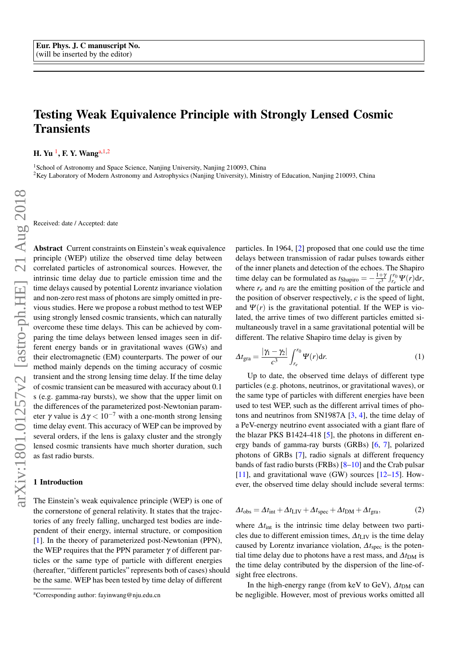# Testing Weak Equivalence Principle with Strongly Lensed Cosmic **Transients**

H. Yu <sup>1</sup>, F. Y. Wang<sup>[a,](#page-0-0) 1, 2</sup>

<sup>1</sup>School of Astronomy and Space Science, Nanjing University, Nanjing 210093, China

<sup>2</sup>Key Laboratory of Modern Astronomy and Astrophysics (Nanjing University), Ministry of Education, Nanjing 210093, China

Received: date / Accepted: date

Abstract Current constraints on Einstein's weak equivalence principle (WEP) utilize the observed time delay between correlated particles of astronomical sources. However, the intrinsic time delay due to particle emission time and the time delays caused by potential Lorentz invariance violation and non-zero rest mass of photons are simply omitted in previous studies. Here we propose a robust method to test WEP using strongly lensed cosmic transients, which can naturally overcome these time delays. This can be achieved by comparing the time delays between lensed images seen in different energy bands or in gravitational waves (GWs) and their electromagnetic (EM) counterparts. The power of our method mainly depends on the timing accuracy of cosmic transient and the strong lensing time delay. If the time delay of cosmic transient can be measured with accuracy about 0.1 s (e.g. gamma-ray bursts), we show that the upper limit on the differences of the parameterized post-Newtonian parameter  $\gamma$  value is  $\Delta \gamma < 10^{-7}$  with a one-month strong lensing time delay event. This accuracy of WEP can be improved by several orders, if the lens is galaxy cluster and the strongly lensed cosmic transients have much shorter duration, such as fast radio bursts.

## 1 Introduction

The Einstein's weak equivalence principle (WEP) is one of the cornerstone of general relativity. It states that the trajectories of any freely falling, uncharged test bodies are independent of their energy, internal structure, or composition [\[1\]](#page-3-0). In the theory of parameterized post-Newtonian (PPN), the WEP requires that the PPN parameter  $\gamma$  of different particles or the same type of particle with different energies (hereafter, "different particles" represents both of cases) should be the same. WEP has been tested by time delay of different

particles. In 1964, [\[2\]](#page-3-1) proposed that one could use the time delays between transmission of radar pulses towards either of the inner planets and detection of the echoes. The Shapiro time delay can be formulated as  $t_{\text{Shapiro}} = -\frac{1+\gamma}{c^3}$  $\frac{r+r}{c^3} \int_{r_e}^{r_0} \Psi(r) dr$ where  $r_e$  and  $r_0$  are the emitting position of the particle and the position of observer respectively,  $c$  is the speed of light, and  $\Psi(r)$  is the gravitational potential. If the WEP is violated, the arrive times of two different particles emitted simultaneously travel in a same gravitational potential will be different. The relative Shapiro time delay is given by

<span id="page-0-1"></span>
$$
\Delta t_{\rm gra} = \frac{|\gamma_1 - \gamma_2|}{c^3} \int_{r_e}^{r_0} \Psi(r) dr.
$$
 (1)

Up to date, the observed time delays of different type particles (e.g. photons, neutrinos, or gravitational waves), or the same type of particles with different energies have been used to test WEP, such as the different arrival times of photons and neutrinos from SN1987A [\[3,](#page-3-2) [4\]](#page-3-3), the time delay of a PeV-energy neutrino event associated with a giant flare of the blazar PKS B1424-418 [\[5\]](#page-4-0), the photons in different energy bands of gamma-ray bursts (GRBs) [\[6,](#page-4-1) [7\]](#page-4-2), polarized photons of GRBs [\[7\]](#page-4-2), radio signals at different frequency bands of fast radio bursts (FRBs) [\[8–](#page-4-3)[10\]](#page-4-4) and the Crab pulsar [\[11\]](#page-4-5), and gravitational wave  $(GW)$  sources [\[12–](#page-4-6)[15\]](#page-4-7). However, the observed time delay should include several terms:

$$
\Delta t_{\rm obs} = \Delta t_{\rm int} + \Delta t_{\rm LIV} + \Delta t_{\rm spec} + \Delta t_{\rm DM} + \Delta t_{\rm gra},\tag{2}
$$

where  $\Delta t$ <sub>int</sub> is the intrinsic time delay between two particles due to different emission times,  $\Delta t_{\text{LIV}}$  is the time delay caused by Lorentz invariance violation, ∆*t*spec is the potential time delay due to photons have a rest mass, and  $\Delta t_{DM}$  is the time delay contributed by the dispersion of the line-ofsight free electrons.

In the high-energy range (from keV to GeV),  $\Delta t_{DM}$  can be negligible. However, most of previous works omitted all

<span id="page-0-0"></span><sup>a</sup>Corresponding author: fayinwang@nju.edu.cn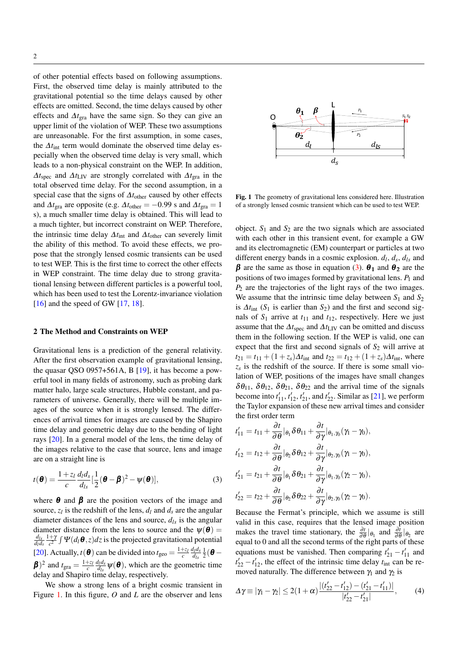of other potential effects based on following assumptions. First, the observed time delay is mainly attributed to the gravitational potential so the time delays caused by other effects are omitted. Second, the time delays caused by other effects and ∆*t*gra have the same sign. So they can give an upper limit of the violation of WEP. These two assumptions are unreasonable. For the first assumption, in some cases, the  $\Delta t_{\text{int}}$  term would dominate the observed time delay especially when the observed time delay is very small, which leads to a non-physical constraint on the WEP. In addition,  $\Delta t_{\text{spec}}$  and  $\Delta t_{\text{LIV}}$  are strongly correlated with  $\Delta t_{\text{gra}}$  in the total observed time delay. For the second assumption, in a special case that the signs of  $\Delta t$ <sub>other</sub> caused by other effects</sub> and  $\Delta t_{\text{gra}}$  are opposite (e.g.  $\Delta t_{\text{other}} = -0.99$  s and  $\Delta t_{\text{gra}} = 1$ s), a much smaller time delay is obtained. This will lead to a much tighter, but incorrect constraint on WEP. Therefore, the intrinsic time delay ∆*t*int and ∆*t*other can severely limit the ability of this method. To avoid these effects, we propose that the strongly lensed cosmic transients can be used to test WEP. This is the first time to correct the other effects in WEP constraint. The time delay due to strong gravitational lensing between different particles is a powerful tool, which has been used to test the Lorentz-invariance violation [\[16\]](#page-4-8) and the speed of GW [\[17,](#page-4-9) [18\]](#page-4-10).

#### 2 The Method and Constraints on WEP

Gravitational lens is a prediction of the general relativity. After the first observation example of gravitational lensing, the quasar QSO 0957+561A, B [\[19\]](#page-4-11), it has become a powerful tool in many fields of astronomy, such as probing dark matter halo, large scale structures, Hubble constant, and parameters of universe. Generally, there will be multiple images of the source when it is strongly lensed. The differences of arrival times for images are caused by the Shapiro time delay and geometric delay due to the bending of light rays [\[20\]](#page-4-12). In a general model of the lens, the time delay of the images relative to the case that source, lens and image are on a straight line is

<span id="page-1-1"></span>
$$
t(\boldsymbol{\theta}) = \frac{1+z_l}{c} \frac{d_l d_s}{d_{ls}} \left[ \frac{1}{2} (\boldsymbol{\theta} - \boldsymbol{\beta})^2 - \psi(\boldsymbol{\theta}) \right],
$$
 (3)

where  $\theta$  and  $\beta$  are the position vectors of the image and source,  $z_l$  is the redshift of the lens,  $d_l$  and  $d_s$  are the angular diameter distances of the lens and source,  $d_{ls}$  is the angular diameter distance from the lens to source and the  $\psi(\boldsymbol{\theta}) =$ *dls dld<sup>s</sup>*  $1+\gamma$  $\frac{+ \gamma}{c^2} \int \Psi(d_l \theta, z) dz$  is the projected gravitational potential [\[20\]](#page-4-12). Actually,  $t(\boldsymbol{\theta})$  can be divided into  $t_{\text{geo}} = \frac{1+z_l}{c} \frac{d_l d_s}{d_{ls}}$  $\frac{d_l d_s}{d_{ls}} \frac{1}{2}(\boldsymbol{\theta} \beta$ <sup>2</sup> and  $t_{\text{gra}} = \frac{1+z_l}{c} \frac{d_l d_s}{d_l s}$  $\frac{d_I a_s}{d_{Is}} \psi(\boldsymbol{\theta})$ , which are the geometric time delay and Shapiro time delay, respectively.

We show a strong lens of a bright cosmic transient in Figure [1.](#page-1-0) In this figure, *O* and *L* are the observer and lens



<span id="page-1-0"></span>Fig. 1 The geometry of gravitational lens considered here. Illustration of a strongly lensed cosmic transient which can be used to test WEP.

object.  $S_1$  and  $S_2$  are the two signals which are associated with each other in this transient event, for example a GW and its electromagnetic (EM) counterpart or particles at two different energy bands in a cosmic explosion.  $d_l$ ,  $d_s$ ,  $d_{ls}$  and **β** are the same as those in equation [\(3\)](#page-1-1). **θ**<sub>1</sub> and **θ**<sub>2</sub> are the positions of two images formed by gravitational lens. *P*<sup>1</sup> and *P*<sup>2</sup> are the trajectories of the light rays of the two images. We assume that the intrinsic time delay between  $S_1$  and  $S_2$ is  $\Delta t$ <sub>int</sub> (*S*<sub>1</sub> is earlier than *S*<sub>2</sub>) and the first and second signals of  $S_1$  arrive at  $t_{11}$  and  $t_{12}$ , respectively. Here we just assume that the  $\Delta t_{\text{spec}}$  and  $\Delta t_{\text{LIV}}$  can be omitted and discuss them in the following section. If the WEP is valid, one can expect that the first and second signals of  $S_2$  will arrive at  $t_{21} = t_{11} + (1 + z_s)\Delta t_{\text{int}}$  and  $t_{22} = t_{12} + (1 + z_s)\Delta t_{\text{int}}$ , where  $z_s$  is the redshift of the source. If there is some small violation of WEP, positions of the images have small changes  $\delta\theta_{11}$ ,  $\delta\theta_{12}$ ,  $\delta\theta_{21}$ ,  $\delta\theta_{22}$  and the arrival time of the signals become into  $t'_{11}$ ,  $t'_{12}$ ,  $t'_{21}$ , and  $t'_{22}$ . Similar as [\[21\]](#page-4-13), we perform the Taylor expansion of these new arrival times and consider the first order term

$$
t'_{11} = t_{11} + \frac{\partial t}{\partial \theta} |_{\theta_1} \delta \theta_{11} + \frac{\partial t}{\partial \gamma} |_{\theta_1, \gamma_0} (\gamma_1 - \gamma_0),
$$
  
\n
$$
t'_{12} = t_{12} + \frac{\partial t}{\partial \theta} |_{\theta_2} \delta \theta_{12} + \frac{\partial t}{\partial \gamma} |_{\theta_2, \gamma_0} (\gamma_1 - \gamma_0),
$$
  
\n
$$
t'_{21} = t_{21} + \frac{\partial t}{\partial \theta} |_{\theta_1} \delta \theta_{21} + \frac{\partial t}{\partial \gamma} |_{\theta_1, \gamma_0} (\gamma_2 - \gamma_0),
$$
  
\n
$$
t'_{22} = t_{22} + \frac{\partial t}{\partial \theta} |_{\theta_2} \delta \theta_{22} + \frac{\partial t}{\partial \gamma} |_{\theta_2, \gamma_0} (\gamma_2 - \gamma_0).
$$

Because the Fermat's principle, which we assume is still valid in this case, requires that the lensed image position makes the travel time stationary, the  $\frac{\partial t}{\partial \theta}|_{\theta_1}$  and  $\frac{\partial t}{\partial \theta}|_{\theta_2}$  are equal to 0 and all the second terms of the right parts of these equations must be vanished. Then comparing  $t'_{21} - t'_{11}$  and  $t'_{22} - t'_{12}$ , the effect of the intrinsic time delay  $t_{int}$  can be removed naturally. The difference between  $\gamma_1$  and  $\gamma_2$  is

<span id="page-1-2"></span>
$$
\Delta \gamma \equiv |\gamma_1 - \gamma_2| \le 2(1+\alpha) \frac{|(t'_{22} - t'_{12}) - (t'_{21} - t'_{11})|}{|t'_{22} - t'_{21}|},
$$
(4)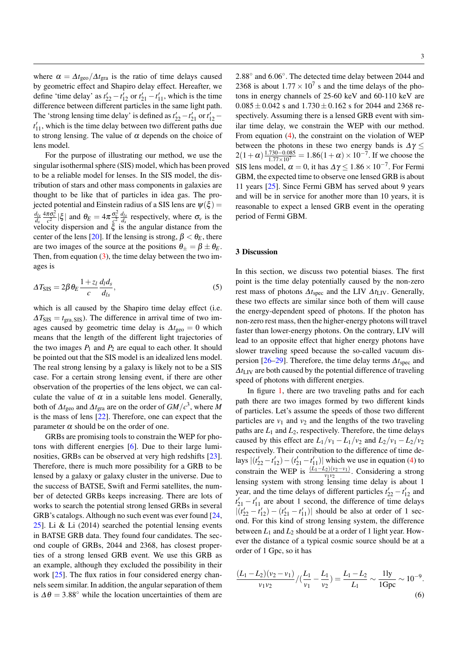where  $\alpha = \Delta t_{\rm geo} / \Delta t_{\rm gra}$  is the ratio of time delays caused by geometric effect and Shapiro delay effect. Hereafter, we define 'time delay' as  $t'_{22} - t'_{12}$  or  $t'_{21} - t'_{11}$ , which is the time difference between different particles in the same light path. The 'strong lensing time delay' is defined as  $t'_{22} - t'_{21}$  or  $t'_{12} - t'_{12}$  $t'_{11}$ , which is the time delay between two different paths due to strong lensing. The value of  $\alpha$  depends on the choice of lens model.

For the purpose of illustrating our method, we use the singular isothermal sphere (SIS) model, which has been proved to be a reliable model for lenses. In the SIS model, the distribution of stars and other mass components in galaxies are thought to be like that of particles in idea gas. The projected potential and Einstein radius of a SIS lens are  $\psi(\xi)$  = *dls ds*  $\frac{4\pi\sigma_v^2}{c^2} |\xi|$  and  $\theta_E = 4\pi \frac{\sigma_v^2}{g^2} \frac{d_{ls}}{ds}$  respectively, where  $\sigma_v$  is the velocity dispersion and  $\xi$  is the angular distance from the center of the lens [\[20\]](#page-4-12). If the lensing is strong,  $\beta < \theta_E$ , there are two images of the source at the positions  $\theta_+ = \beta \pm \theta_E$ . Then, from equation  $(3)$ , the time delay between the two images is

$$
\Delta T_{\rm SIS} = 2\beta \,\theta_E \frac{1+z_l}{c} \frac{d_l d_s}{d_{ls}},\tag{5}
$$

which is all caused by the Shapiro time delay effect (i.e.  $\Delta T_{\text{SIS}} = t_{\text{gra, SIS}}$ ). The difference in arrival time of two images caused by geometric time delay is  $\Delta t_{\text{geo}} = 0$  which means that the length of the different light trajectories of the two images  $P_1$  and  $P_2$  are equal to each other. It should be pointed out that the SIS model is an idealized lens model. The real strong lensing by a galaxy is likely not to be a SIS case. For a certain strong lensing event, if there are other observation of the properties of the lens object, we can calculate the value of  $\alpha$  in a suitable lens model. Generally, both of  $\Delta t_{\rm geo}$  and  $\Delta t_{\rm gra}$  are on the order of  $GM/c^3$ , where  $M$ is the mass of lens [\[22\]](#page-4-14). Therefore, one can expect that the parameter  $\alpha$  should be on the order of one.

GRBs are promising tools to constrain the WEP for photons with different energies [\[6\]](#page-4-1). Due to their large luminosities, GRBs can be observed at very high redshifts [\[23\]](#page-4-15). Therefore, there is much more possibility for a GRB to be lensed by a galaxy or galaxy cluster in the universe. Due to the success of BATSE, Swift and Fermi satellites, the number of detected GRBs keeps increasing. There are lots of works to search the potential strong lensed GRBs in several GRB's catalogs. Although no such event was ever found [\[24,](#page-4-16) [25\]](#page-4-17). Li & Li (2014) searched the potential lensing events in BATSE GRB data. They found four candidates. The second couple of GRBs, 2044 and 2368, has closest properties of a strong lensed GRB event. We use this GRB as an example, although they excluded the possibility in their work [\[25\]](#page-4-17). The flux ratios in four considered energy channels seem similar. In addition, the angular separation of them is  $\Delta \theta = 3.88^\circ$  while the location uncertainties of them are

2.88◦ and 6.06◦ . The detected time delay between 2044 and 2368 is about  $1.77 \times 10^7$  s and the time delays of the photons in energy channels of 25-60 keV and 60-110 keV are  $0.085 \pm 0.042$  s and  $1.730 \pm 0.162$  s for 2044 and 2368 respectively. Assuming there is a lensed GRB event with similar time delay, we constrain the WEP with our method. From equation [\(4\)](#page-1-2), the constraint on the violation of WEP between the photons in these two energy bands is  $\Delta \gamma \leq$  $2(1+\alpha)\frac{1.730-0.085}{1.77\times10^7} = 1.86(1+\alpha) \times 10^{-7}$ . If we choose the SIS lens model,  $\alpha = 0$ , it has  $\Delta \gamma \leq 1.86 \times 10^{-7}$ . For Fermi GBM, the expected time to observe one lensed GRB is about 11 years [\[25\]](#page-4-17). Since Fermi GBM has served about 9 years and will be in service for another more than 10 years, it is reasonable to expect a lensed GRB event in the operating period of Fermi GBM.

## 3 Discussion

In this section, we discuss two potential biases. The first point is the time delay potentially caused by the non-zero rest mass of photons ∆*t*spec and the LIV ∆*t*LIV. Generally, these two effects are similar since both of them will cause the energy-dependent speed of photons. If the photon has non-zero rest mass, then the higher-energy photons will travel faster than lower-energy photons. On the contrary, LIV will lead to an opposite effect that higher energy photons have slower traveling speed because the so-called vacuum dis-persion [\[26](#page-4-18)[–29\]](#page-4-19). Therefore, the time delay terms  $\Delta t_{\text{spec}}$  and  $\Delta t_{\text{LIV}}$  are both caused by the potential difference of traveling speed of photons with different energies.

In figure [1,](#page-1-0) there are two traveling paths and for each path there are two images formed by two different kinds of particles. Let's assume the speeds of those two different particles are  $v_1$  and  $v_2$  and the lengths of the two traveling paths are  $L_1$  and  $L_2$ , respectively. Therefore, the time delays caused by this effect are  $L_1/v_1 - L_1/v_2$  and  $L_2/v_1 - L_2/v_2$ respectively. Their contribution to the difference of time delays  $|(t'_{22} - t'_{12}) - (t'_{21} - t'_{11})|$  which we use in equation [\(4\)](#page-1-2) to constrain the WEP is  $\frac{(L_1 - L_2)(v_2 - v_1)}{v_1 v_2}$ . Considering a strong lensing system with strong lensing time delay is about 1 year, and the time delays of different particles  $t'_{22} - t'_{12}$  and  $t'_{21} - t'_{11}$  are about 1 second, the difference of time delays  $|(t'_{22} - t'_{12}) - (t'_{21} - t'_{11})|$  should be also at order of 1 second. For this kind of strong lensing system, the difference between  $L_1$  and  $L_2$  should be at a order of 1 light year. However the distance of a typical cosmic source should be at a order of 1 Gpc, so it has

$$
\frac{(L_1 - L_2)(v_2 - v_1)}{v_1 v_2} / (\frac{L_1}{v_1} - \frac{L_1}{v_2}) = \frac{L_1 - L_2}{L_1} \sim \frac{11y}{1 \text{ Gpc}} \sim 10^{-9}.
$$
\n<sup>(6)</sup>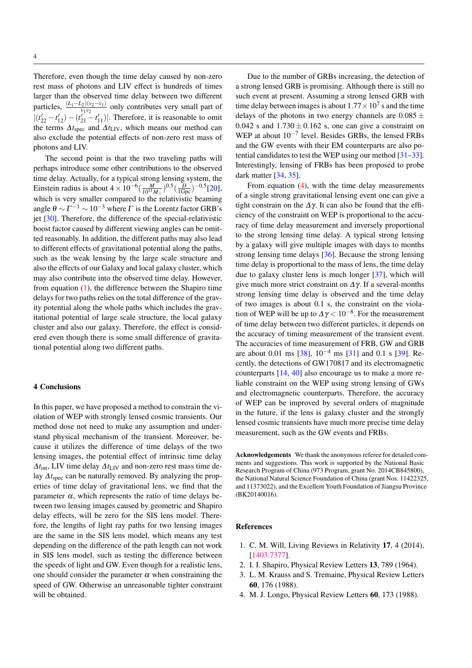Therefore, even though the time delay caused by non-zero rest mass of photons and LIV effect is hundreds of times larger than the observed time delay between two different particles,  $\frac{(L_1 - L_2)(v_2 - v_1)}{v_1v_2}$  only contributes very small part of  $|(t'_{22} - t'_{12}) - (t'_{21} - t'_{11})|$ . Therefore, it is reasonable to omit the terms  $Δt<sub>spec</sub>$  and  $Δt<sub>LIV</sub>$ , which means our method can also exclude the potential effects of non-zero rest mass of photons and LIV.

The second point is that the two traveling paths will perhaps introduce some other contributions to the observed time delay. Actually, for a typical strong lensing system, the Einstein radius is about  $4 \times 10^{-6} (\frac{M}{10^{11} M_{\odot}})^{0.5} (\frac{D}{1 \text{Gpc}})^{-0.5} [20]$  $4 \times 10^{-6} (\frac{M}{10^{11} M_{\odot}})^{0.5} (\frac{D}{1 \text{Gpc}})^{-0.5} [20]$ , which is very smaller compared to the relativistic beaming angle  $\theta \sim \Gamma^{-1} \sim 10^{-3}$  where  $\Gamma$  is the Lorentz factor GRB's jet [\[30\]](#page-4-20). Therefore, the difference of the special-relativistic boost factor caused by different viewing angles can be omitted reasonably. In addition, the different paths may also lead to different effects of gravitational potential along the paths, such as the weak lensing by the large scale structure and also the effects of our Galaxy and local galaxy cluster, which may also contribute into the observed time delay. However, from equation [\(1\)](#page-0-1), the difference between the Shapiro time delays for two paths relies on the total difference of the gravity potential along the whole paths which includes the gravitational potential of large scale structure, the local galaxy cluster and also our galaxy. Therefore, the effect is considered even though there is some small difference of gravitational potential along two different paths.

## 4 Conclusions

In this paper, we have proposed a method to constrain the violation of WEP with strongly lensed cosmic transients. Our method dose not need to make any assumption and understand physical mechanism of the transient. Moreover, because it utilizes the difference of time delays of the two lensing images, the potential effect of intrinsic time delay  $\Delta t_{\text{int}}$ , LIV time delay  $\Delta t_{\text{LIV}}$  and non-zero rest mass time delay ∆*t*spec can be naturally removed. By analyzing the properties of time delay of gravitational lens, we find that the parameter  $\alpha$ , which represents the ratio of time delays between two lensing images caused by geometric and Shapiro delay effects, will be zero for the SIS lens model. Therefore, the lengths of light ray paths for two lensing images are the same in the SIS lens model, which means any test depending on the difference of the path length can not work in SIS lens model, such as testing the difference between the speeds of light and GW. Even though for a realistic lens, one should consider the parameter  $\alpha$  when constraining the speed of GW. Otherwise an unreasonable tighter constraint will be obtained.

Due to the number of GRBs increasing, the detection of a strong lensed GRB is promising. Although there is still no such event at present. Assuming a strong lensed GRB with time delay between images is about  $1.77 \times 10^7$  s and the time delays of the photons in two energy channels are  $0.085 \pm$ 0.042 s and  $1.730 \pm 0.162$  s, one can give a constraint on WEP at about 10−<sup>7</sup> level. Besides GRBs, the lensed FRBs and the GW events with their EM counterparts are also potential candidates to test the WEP using our method [\[31](#page-4-21)[–33\]](#page-4-22). Interestingly, lensing of FRBs has been proposed to probe dark matter [\[34,](#page-4-23) [35\]](#page-4-24).

From equation [\(4\)](#page-1-2), with the time delay measurements of a single strong gravitational lensing event one can give a tight constrain on the  $\Delta \gamma$ . It can also be found that the efficiency of the constraint on WEP is proportional to the accuracy of time delay measurement and inversely proportional to the strong lensing time delay. A typical strong lensing by a galaxy will give multiple images with days to months strong lensing time delays [\[36\]](#page-4-25). Because the strong lensing time delay is proportional to the mass of lens, the time delay due to galaxy cluster lens is much longer [\[37\]](#page-4-26), which will give much more strict constraint on ∆ γ. If a several-months strong lensing time delay is observed and the time delay of two images is about 0.1 s, the constraint on the violation of WEP will be up to  $\Delta \gamma < 10^{-8}$ . For the measurement of time delay between two different particles, it depends on the accuracy of timing measurement of the transient event. The accuracies of time measurement of FRB, GW and GRB are about 0.01 ms  $[38]$ ,  $10^{-4}$  ms  $[31]$  and 0.1 s  $[39]$ . Recently, the detections of GW170817 and its electromagnetic counterparts [\[14,](#page-4-29) [40\]](#page-4-30) also encourage us to make a more reliable constraint on the WEP using strong lensing of GWs and electromagnetic counterparts. Therefore, the accuracy of WEP can be improved by several orders of magnitude in the future, if the lens is galaxy cluster and the strongly lensed cosmic transients have much more precise time delay measurement, such as the GW events and FRBs.

Acknowledgements We thank the anonymous referee for detailed comments and suggestions. This work is supported by the National Basic Research Program of China (973 Program, grant No. 2014CB845800), the National Natural Science Foundation of China (grant Nos. 11422325, and 11373022), and the Excellent Youth Foundation of Jiangsu Province (BK20140016).

#### References

- <span id="page-3-0"></span>1. C. M. Will, Living Reviews in Relativity 17, 4 (2014), [\[1403.7377\]](http://arxiv.org/abs/1403.7377).
- <span id="page-3-1"></span>2. I. I. Shapiro, Physical Review Letters 13, 789 (1964).
- <span id="page-3-2"></span>3. L. M. Krauss and S. Tremaine, Physical Review Letters 60, 176 (1988).
- <span id="page-3-3"></span>4. M. J. Longo, Physical Review Letters 60, 173 (1988).